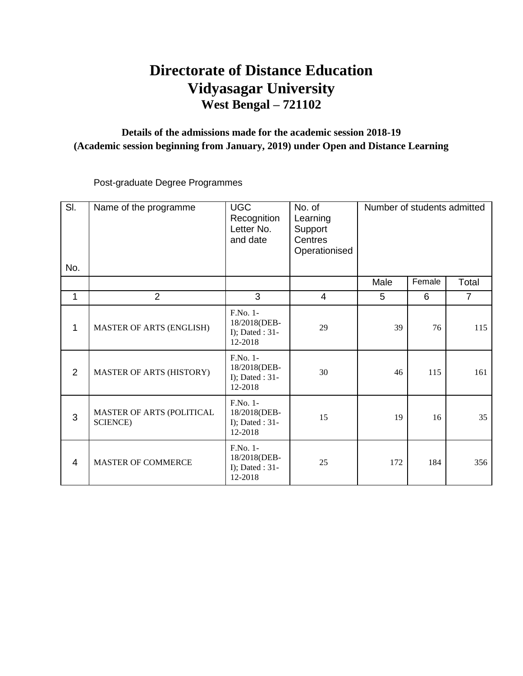# **Directorate of Distance Education Vidyasagar University West Bengal – 721102**

#### **Details of the admissions made for the academic session 2018-19 (Academic session beginning from January, 2019) under Open and Distance Learning**

Post-graduate Degree Programmes

| $\overline{S}$ . | Name of the programme                         | <b>UGC</b><br>Recognition<br>Letter No.<br>and date         | No. of<br>Learning<br>Support<br>Centres<br>Operationised | Number of students admitted |        |                |
|------------------|-----------------------------------------------|-------------------------------------------------------------|-----------------------------------------------------------|-----------------------------|--------|----------------|
| No.              |                                               |                                                             |                                                           |                             | Female |                |
|                  |                                               |                                                             |                                                           | Male                        |        | Total          |
| 1                | $\overline{2}$                                | 3                                                           | $\overline{4}$                                            | 5                           | 6      | $\overline{7}$ |
| 1                | <b>MASTER OF ARTS (ENGLISH)</b>               | F.No. 1-<br>18/2018(DEB-<br>I); Dated : $31$ -<br>12-2018   | 29                                                        | 39                          | 76     | 115            |
| $\overline{2}$   | <b>MASTER OF ARTS (HISTORY)</b>               | F.No. 1-<br>18/2018(DEB-<br>I); Dated : $31$ -<br>12-2018   | 30                                                        | 46                          | 115    | 161            |
| 3                | MASTER OF ARTS (POLITICAL<br><b>SCIENCE</b> ) | $F.No. 1-$<br>18/2018(DEB-<br>I); Dated : $31$ -<br>12-2018 | 15                                                        | 19                          | 16     | 35             |
| $\overline{4}$   | <b>MASTER OF COMMERCE</b>                     | F.No. 1-<br>18/2018(DEB-<br>I); Dated : 31-<br>12-2018      | 25                                                        | 172                         | 184    | 356            |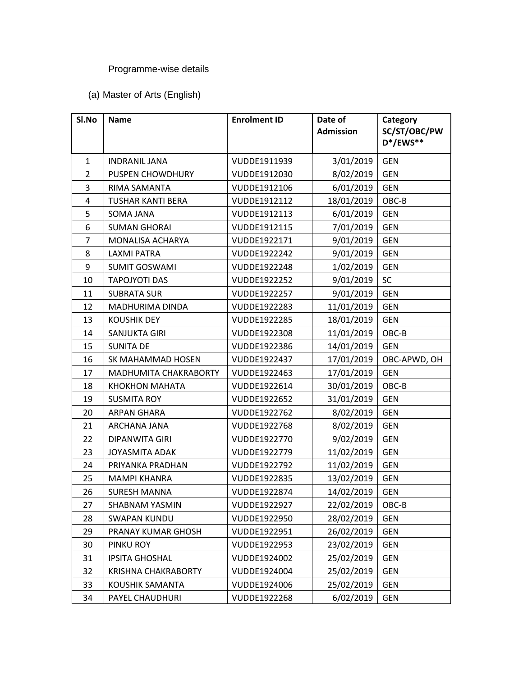## Programme-wise details

#### (a) Master of Arts (English)

| SI.No          | <b>Name</b>                | <b>Enrolment ID</b> | Date of<br><b>Admission</b> | Category<br>SC/ST/OBC/PW<br>D*/EWS** |
|----------------|----------------------------|---------------------|-----------------------------|--------------------------------------|
|                |                            |                     |                             |                                      |
| $\mathbf{1}$   | <b>INDRANIL JANA</b>       | VUDDE1911939        | 3/01/2019                   | <b>GEN</b>                           |
| $\overline{2}$ | <b>PUSPEN CHOWDHURY</b>    | VUDDE1912030        | 8/02/2019                   | <b>GEN</b>                           |
| 3              | RIMA SAMANTA               | VUDDE1912106        | 6/01/2019                   | <b>GEN</b>                           |
| $\pmb{4}$      | <b>TUSHAR KANTI BERA</b>   | VUDDE1912112        | 18/01/2019                  | OBC-B                                |
| 5              | SOMA JANA                  | VUDDE1912113        | 6/01/2019                   | <b>GEN</b>                           |
| 6              | <b>SUMAN GHORAI</b>        | VUDDE1912115        | 7/01/2019                   | <b>GEN</b>                           |
| $\overline{7}$ | <b>MONALISA ACHARYA</b>    | VUDDE1922171        | 9/01/2019                   | <b>GEN</b>                           |
| 8              | <b>LAXMI PATRA</b>         | VUDDE1922242        | 9/01/2019                   | <b>GEN</b>                           |
| 9              | <b>SUMIT GOSWAMI</b>       | VUDDE1922248        | 1/02/2019                   | <b>GEN</b>                           |
| 10             | <b>TAPOJYOTI DAS</b>       | VUDDE1922252        | 9/01/2019                   | SC                                   |
| 11             | <b>SUBRATA SUR</b>         | VUDDE1922257        | 9/01/2019                   | <b>GEN</b>                           |
| 12             | MADHURIMA DINDA            | VUDDE1922283        | 11/01/2019                  | <b>GEN</b>                           |
| 13             | <b>KOUSHIK DEY</b>         | VUDDE1922285        | 18/01/2019                  | <b>GEN</b>                           |
| 14             | SANJUKTA GIRI              | VUDDE1922308        | 11/01/2019                  | OBC-B                                |
| 15             | <b>SUNITA DE</b>           | VUDDE1922386        | 14/01/2019                  | <b>GEN</b>                           |
| 16             | SK MAHAMMAD HOSEN          | VUDDE1922437        | 17/01/2019                  | OBC-APWD, OH                         |
| 17             | MADHUMITA CHAKRABORTY      | VUDDE1922463        | 17/01/2019                  | <b>GEN</b>                           |
| 18             | <b>KHOKHON MAHATA</b>      | VUDDE1922614        | 30/01/2019                  | OBC-B                                |
| 19             | <b>SUSMITA ROY</b>         | VUDDE1922652        | 31/01/2019                  | <b>GEN</b>                           |
| 20             | <b>ARPAN GHARA</b>         | VUDDE1922762        | 8/02/2019                   | <b>GEN</b>                           |
| 21             | ARCHANA JANA               | VUDDE1922768        | 8/02/2019                   | <b>GEN</b>                           |
| 22             | <b>DIPANWITA GIRI</b>      | VUDDE1922770        | 9/02/2019                   | <b>GEN</b>                           |
| 23             | <b>JOYASMITA ADAK</b>      | VUDDE1922779        | 11/02/2019                  | <b>GEN</b>                           |
| 24             | PRIYANKA PRADHAN           | VUDDE1922792        | 11/02/2019                  | <b>GEN</b>                           |
| 25             | <b>MAMPI KHANRA</b>        | VUDDE1922835        | 13/02/2019                  | <b>GEN</b>                           |
| 26             | <b>SURESH MANNA</b>        | VUDDE1922874        | 14/02/2019                  | <b>GEN</b>                           |
| 27             | <b>SHABNAM YASMIN</b>      | VUDDE1922927        | 22/02/2019                  | OBC-B                                |
| 28             | <b>SWAPAN KUNDU</b>        | VUDDE1922950        | 28/02/2019                  | <b>GEN</b>                           |
| 29             | PRANAY KUMAR GHOSH         | VUDDE1922951        | 26/02/2019                  | <b>GEN</b>                           |
| 30             | PINKU ROY                  | VUDDE1922953        | 23/02/2019                  | <b>GEN</b>                           |
| 31             | <b>IPSITA GHOSHAL</b>      | VUDDE1924002        | 25/02/2019                  | <b>GEN</b>                           |
| 32             | <b>KRISHNA CHAKRABORTY</b> | VUDDE1924004        | 25/02/2019                  | <b>GEN</b>                           |
| 33             | KOUSHIK SAMANTA            | VUDDE1924006        | 25/02/2019                  | <b>GEN</b>                           |
| 34             | PAYEL CHAUDHURI            | VUDDE1922268        | 6/02/2019                   | <b>GEN</b>                           |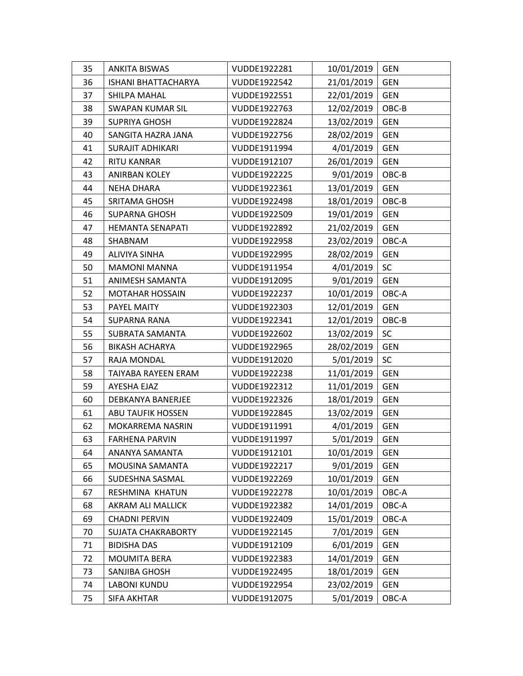| 35 | <b>ANKITA BISWAS</b>       | VUDDE1922281 | 10/01/2019 | <b>GEN</b> |
|----|----------------------------|--------------|------------|------------|
| 36 | <b>ISHANI BHATTACHARYA</b> | VUDDE1922542 | 21/01/2019 | <b>GEN</b> |
| 37 | SHILPA MAHAL               | VUDDE1922551 | 22/01/2019 | <b>GEN</b> |
| 38 | <b>SWAPAN KUMAR SIL</b>    | VUDDE1922763 | 12/02/2019 | OBC-B      |
| 39 | <b>SUPRIYA GHOSH</b>       | VUDDE1922824 | 13/02/2019 | <b>GEN</b> |
| 40 | SANGITA HAZRA JANA         | VUDDE1922756 | 28/02/2019 | <b>GEN</b> |
| 41 | SURAJIT ADHIKARI           | VUDDE1911994 | 4/01/2019  | <b>GEN</b> |
| 42 | RITU KANRAR                | VUDDE1912107 | 26/01/2019 | <b>GEN</b> |
| 43 | <b>ANIRBAN KOLEY</b>       | VUDDE1922225 | 9/01/2019  | OBC-B      |
| 44 | <b>NEHA DHARA</b>          | VUDDE1922361 | 13/01/2019 | <b>GEN</b> |
| 45 | SRITAMA GHOSH              | VUDDE1922498 | 18/01/2019 | OBC-B      |
| 46 | <b>SUPARNA GHOSH</b>       | VUDDE1922509 | 19/01/2019 | <b>GEN</b> |
| 47 | <b>HEMANTA SENAPATI</b>    | VUDDE1922892 | 21/02/2019 | <b>GEN</b> |
| 48 | SHABNAM                    | VUDDE1922958 | 23/02/2019 | OBC-A      |
| 49 | ALIVIYA SINHA              | VUDDE1922995 | 28/02/2019 | <b>GEN</b> |
| 50 | <b>MAMONI MANNA</b>        | VUDDE1911954 | 4/01/2019  | SC         |
| 51 | <b>ANIMESH SAMANTA</b>     | VUDDE1912095 | 9/01/2019  | <b>GEN</b> |
| 52 | <b>MOTAHAR HOSSAIN</b>     | VUDDE1922237 | 10/01/2019 | OBC-A      |
| 53 | PAYEL MAITY                | VUDDE1922303 | 12/01/2019 | <b>GEN</b> |
| 54 | <b>SUPARNA RANA</b>        | VUDDE1922341 | 12/01/2019 | OBC-B      |
| 55 | <b>SUBRATA SAMANTA</b>     | VUDDE1922602 | 13/02/2019 | <b>SC</b>  |
| 56 | <b>BIKASH ACHARYA</b>      | VUDDE1922965 | 28/02/2019 | <b>GEN</b> |
| 57 | RAJA MONDAL                | VUDDE1912020 | 5/01/2019  | <b>SC</b>  |
| 58 | TAIYABA RAYEEN ERAM        | VUDDE1922238 | 11/01/2019 | <b>GEN</b> |
| 59 | AYESHA EJAZ                | VUDDE1922312 | 11/01/2019 | <b>GEN</b> |
| 60 | DEBKANYA BANERJEE          | VUDDE1922326 | 18/01/2019 | <b>GEN</b> |
| 61 | <b>ABU TAUFIK HOSSEN</b>   | VUDDE1922845 | 13/02/2019 | <b>GEN</b> |
| 62 | MOKARREMA NASRIN           | VUDDE1911991 | 4/01/2019  | <b>GEN</b> |
| 63 | <b>FARHENA PARVIN</b>      | VUDDE1911997 | 5/01/2019  | <b>GEN</b> |
| 64 | ANANYA SAMANTA             | VUDDE1912101 | 10/01/2019 | <b>GEN</b> |
| 65 | MOUSINA SAMANTA            | VUDDE1922217 | 9/01/2019  | <b>GEN</b> |
| 66 | SUDESHNA SASMAL            | VUDDE1922269 | 10/01/2019 | <b>GEN</b> |
| 67 | RESHMINA KHATUN            | VUDDE1922278 | 10/01/2019 | OBC-A      |
| 68 | AKRAM ALI MALLICK          | VUDDE1922382 | 14/01/2019 | OBC-A      |
| 69 | <b>CHADNI PERVIN</b>       | VUDDE1922409 | 15/01/2019 | OBC-A      |
| 70 | <b>SUJATA CHAKRABORTY</b>  | VUDDE1922145 | 7/01/2019  | <b>GEN</b> |
| 71 | <b>BIDISHA DAS</b>         | VUDDE1912109 | 6/01/2019  | <b>GEN</b> |
| 72 | <b>MOUMITA BERA</b>        | VUDDE1922383 | 14/01/2019 | <b>GEN</b> |
| 73 | SANJIBA GHOSH              | VUDDE1922495 | 18/01/2019 | <b>GEN</b> |
| 74 | <b>LABONI KUNDU</b>        | VUDDE1922954 | 23/02/2019 | <b>GEN</b> |
| 75 | <b>SIFA AKHTAR</b>         | VUDDE1912075 | 5/01/2019  | OBC-A      |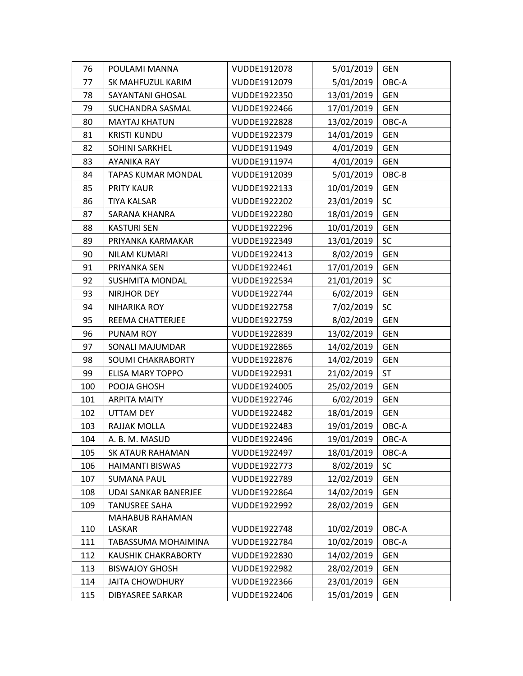| 76  | POULAMI MANNA               | VUDDE1912078 | 5/01/2019  | <b>GEN</b> |
|-----|-----------------------------|--------------|------------|------------|
| 77  | SK MAHFUZUL KARIM           | VUDDE1912079 | 5/01/2019  | OBC-A      |
| 78  | <b>SAYANTANI GHOSAL</b>     | VUDDE1922350 | 13/01/2019 | <b>GEN</b> |
| 79  | SUCHANDRA SASMAL            | VUDDE1922466 | 17/01/2019 | <b>GEN</b> |
| 80  | <b>MAYTAJ KHATUN</b>        | VUDDE1922828 | 13/02/2019 | OBC-A      |
| 81  | <b>KRISTI KUNDU</b>         | VUDDE1922379 | 14/01/2019 | <b>GEN</b> |
| 82  | SOHINI SARKHEL              | VUDDE1911949 | 4/01/2019  | <b>GEN</b> |
| 83  | AYANIKA RAY                 | VUDDE1911974 | 4/01/2019  | <b>GEN</b> |
| 84  | <b>TAPAS KUMAR MONDAL</b>   | VUDDE1912039 | 5/01/2019  | OBC-B      |
| 85  | PRITY KAUR                  | VUDDE1922133 | 10/01/2019 | <b>GEN</b> |
| 86  | <b>TIYA KALSAR</b>          | VUDDE1922202 | 23/01/2019 | <b>SC</b>  |
| 87  | SARANA KHANRA               | VUDDE1922280 | 18/01/2019 | <b>GEN</b> |
| 88  | <b>KASTURI SEN</b>          | VUDDE1922296 | 10/01/2019 | <b>GEN</b> |
| 89  | PRIYANKA KARMAKAR           | VUDDE1922349 | 13/01/2019 | <b>SC</b>  |
| 90  | <b>NILAM KUMARI</b>         | VUDDE1922413 | 8/02/2019  | <b>GEN</b> |
| 91  | PRIYANKA SEN                | VUDDE1922461 | 17/01/2019 | <b>GEN</b> |
| 92  | <b>SUSHMITA MONDAL</b>      | VUDDE1922534 | 21/01/2019 | SC         |
| 93  | NIRJHOR DEY                 | VUDDE1922744 | 6/02/2019  | <b>GEN</b> |
| 94  | NIHARIKA ROY                | VUDDE1922758 | 7/02/2019  | SC         |
| 95  | REEMA CHATTERJEE            | VUDDE1922759 | 8/02/2019  | <b>GEN</b> |
| 96  | PUNAM ROY                   | VUDDE1922839 | 13/02/2019 | <b>GEN</b> |
| 97  | SONALI MAJUMDAR             | VUDDE1922865 | 14/02/2019 | <b>GEN</b> |
| 98  | SOUMI CHAKRABORTY           | VUDDE1922876 | 14/02/2019 | <b>GEN</b> |
| 99  | <b>ELISA MARY TOPPO</b>     | VUDDE1922931 | 21/02/2019 | <b>ST</b>  |
| 100 | POOJA GHOSH                 | VUDDE1924005 | 25/02/2019 | <b>GEN</b> |
| 101 | <b>ARPITA MAITY</b>         | VUDDE1922746 | 6/02/2019  | <b>GEN</b> |
| 102 | <b>UTTAM DEY</b>            | VUDDE1922482 | 18/01/2019 | <b>GEN</b> |
| 103 | RAJJAK MOLLA                | VUDDE1922483 | 19/01/2019 | OBC-A      |
| 104 | A. B. M. MASUD              | VUDDE1922496 | 19/01/2019 | OBC-A      |
| 105 | <b>SK ATAUR RAHAMAN</b>     | VUDDE1922497 | 18/01/2019 | OBC-A      |
| 106 | HAIMANTI BISWAS             | VUDDE1922773 | 8/02/2019  | SC         |
| 107 | <b>SUMANA PAUL</b>          | VUDDE1922789 | 12/02/2019 | <b>GEN</b> |
| 108 | <b>UDAI SANKAR BANERJEE</b> | VUDDE1922864 | 14/02/2019 | <b>GEN</b> |
| 109 | <b>TANUSREE SAHA</b>        | VUDDE1922992 | 28/02/2019 | <b>GEN</b> |
|     | MAHABUB RAHAMAN             |              |            |            |
| 110 | LASKAR                      | VUDDE1922748 | 10/02/2019 | OBC-A      |
| 111 | TABASSUMA MOHAIMINA         | VUDDE1922784 | 10/02/2019 | OBC-A      |
| 112 | <b>KAUSHIK CHAKRABORTY</b>  | VUDDE1922830 | 14/02/2019 | <b>GEN</b> |
| 113 | <b>BISWAJOY GHOSH</b>       | VUDDE1922982 | 28/02/2019 | <b>GEN</b> |
| 114 | <b>JAITA CHOWDHURY</b>      | VUDDE1922366 | 23/01/2019 | <b>GEN</b> |
| 115 | <b>DIBYASREE SARKAR</b>     | VUDDE1922406 | 15/01/2019 | <b>GEN</b> |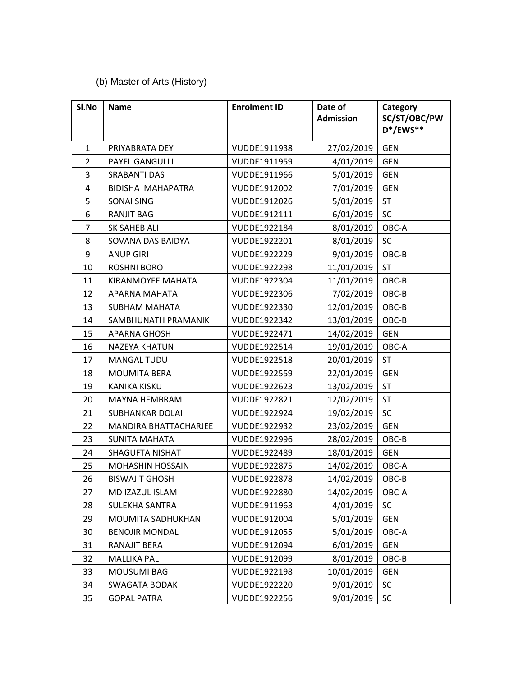## (b) Master of Arts (History)

| SI.No                   | <b>Name</b>              | <b>Enrolment ID</b> | Date of<br><b>Admission</b> | Category<br>SC/ST/OBC/PW<br>D*/EWS** |
|-------------------------|--------------------------|---------------------|-----------------------------|--------------------------------------|
| $\mathbf{1}$            | PRIYABRATA DEY           | VUDDE1911938        | 27/02/2019                  | <b>GEN</b>                           |
| $\overline{2}$          | PAYEL GANGULLI           | VUDDE1911959        | 4/01/2019                   | <b>GEN</b>                           |
| $\overline{\mathbf{3}}$ | <b>SRABANTI DAS</b>      | VUDDE1911966        | 5/01/2019                   | <b>GEN</b>                           |
| $\overline{4}$          | <b>BIDISHA MAHAPATRA</b> | VUDDE1912002        | 7/01/2019                   | <b>GEN</b>                           |
| 5                       | <b>SONAI SING</b>        | VUDDE1912026        | 5/01/2019                   | <b>ST</b>                            |
| 6                       | <b>RANJIT BAG</b>        | VUDDE1912111        | 6/01/2019                   | SC                                   |
| 7                       | <b>SK SAHEB ALI</b>      | VUDDE1922184        | 8/01/2019                   | OBC-A                                |
| 8                       | SOVANA DAS BAIDYA        | VUDDE1922201        | 8/01/2019                   | <b>SC</b>                            |
| 9                       | <b>ANUP GIRI</b>         | VUDDE1922229        | 9/01/2019                   | OBC-B                                |
| 10                      | <b>ROSHNI BORO</b>       | VUDDE1922298        | 11/01/2019                  | <b>ST</b>                            |
| 11                      | KIRANMOYEE MAHATA        | VUDDE1922304        | 11/01/2019                  | OBC-B                                |
| 12                      | APARNA MAHATA            | VUDDE1922306        | 7/02/2019                   | OBC-B                                |
| 13                      | <b>SUBHAM MAHATA</b>     | VUDDE1922330        | 12/01/2019                  | OBC-B                                |
| 14                      | SAMBHUNATH PRAMANIK      | VUDDE1922342        | 13/01/2019                  | OBC-B                                |
| 15                      | <b>APARNA GHOSH</b>      | VUDDE1922471        | 14/02/2019                  | <b>GEN</b>                           |
| 16                      | <b>NAZEYA KHATUN</b>     | VUDDE1922514        | 19/01/2019                  | OBC-A                                |
| 17                      | <b>MANGAL TUDU</b>       | VUDDE1922518        | 20/01/2019                  | <b>ST</b>                            |
| 18                      | MOUMITA BERA             | VUDDE1922559        | 22/01/2019                  | <b>GEN</b>                           |
| 19                      | <b>KANIKA KISKU</b>      | VUDDE1922623        | 13/02/2019                  | <b>ST</b>                            |
| 20                      | MAYNA HEMBRAM            | VUDDE1922821        | 12/02/2019                  | <b>ST</b>                            |
| 21                      | <b>SUBHANKAR DOLAI</b>   | VUDDE1922924        | 19/02/2019                  | SC                                   |
| 22                      | MANDIRA BHATTACHARJEE    | VUDDE1922932        | 23/02/2019                  | <b>GEN</b>                           |
| 23                      | <b>SUNITA MAHATA</b>     | VUDDE1922996        | 28/02/2019                  | OBC-B                                |
| 24                      | <b>SHAGUFTA NISHAT</b>   | VUDDE1922489        | 18/01/2019                  | <b>GEN</b>                           |
| 25                      | <b>MOHASHIN HOSSAIN</b>  | VUDDE1922875        | 14/02/2019                  | OBC-A                                |
| 26                      | <b>BISWAJIT GHOSH</b>    | VUDDE1922878        | 14/02/2019                  | OBC-B                                |
| 27                      | MD IZAZUL ISLAM          | VUDDE1922880        | 14/02/2019                  | OBC-A                                |
| 28                      | <b>SULEKHA SANTRA</b>    | VUDDE1911963        | 4/01/2019                   | SC                                   |
| 29                      | MOUMITA SADHUKHAN        | VUDDE1912004        | 5/01/2019                   | <b>GEN</b>                           |
| 30                      | <b>BENOJIR MONDAL</b>    | VUDDE1912055        | 5/01/2019                   | OBC-A                                |
| 31                      | RANAJIT BERA             | VUDDE1912094        | 6/01/2019                   | <b>GEN</b>                           |
| 32                      | <b>MALLIKA PAL</b>       | VUDDE1912099        | 8/01/2019                   | OBC-B                                |
| 33                      | MOUSUMI BAG              | VUDDE1922198        | 10/01/2019                  | <b>GEN</b>                           |
| 34                      | <b>SWAGATA BODAK</b>     | VUDDE1922220        | 9/01/2019                   | SC                                   |
| 35                      | <b>GOPAL PATRA</b>       | VUDDE1922256        | 9/01/2019                   | <b>SC</b>                            |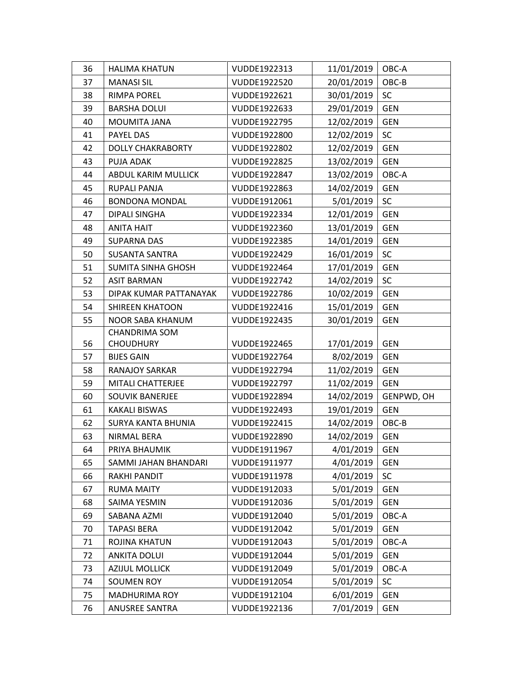| 36 | <b>HALIMA KHATUN</b>      | VUDDE1922313 | 11/01/2019 | OBC-A      |
|----|---------------------------|--------------|------------|------------|
| 37 | <b>MANASI SIL</b>         | VUDDE1922520 | 20/01/2019 | OBC-B      |
| 38 | <b>RIMPA POREL</b>        | VUDDE1922621 | 30/01/2019 | <b>SC</b>  |
| 39 | <b>BARSHA DOLUI</b>       | VUDDE1922633 | 29/01/2019 | <b>GEN</b> |
| 40 | MOUMITA JANA              | VUDDE1922795 | 12/02/2019 | <b>GEN</b> |
| 41 | PAYEL DAS                 | VUDDE1922800 | 12/02/2019 | <b>SC</b>  |
| 42 | <b>DOLLY CHAKRABORTY</b>  | VUDDE1922802 | 12/02/2019 | <b>GEN</b> |
| 43 | PUJA ADAK                 | VUDDE1922825 | 13/02/2019 | <b>GEN</b> |
| 44 | ABDUL KARIM MULLICK       | VUDDE1922847 | 13/02/2019 | OBC-A      |
| 45 | RUPALI PANJA              | VUDDE1922863 | 14/02/2019 | <b>GEN</b> |
| 46 | <b>BONDONA MONDAL</b>     | VUDDE1912061 | 5/01/2019  | <b>SC</b>  |
| 47 | <b>DIPALI SINGHA</b>      | VUDDE1922334 | 12/01/2019 | <b>GEN</b> |
| 48 | <b>ANITA HAIT</b>         | VUDDE1922360 | 13/01/2019 | <b>GEN</b> |
| 49 | <b>SUPARNA DAS</b>        | VUDDE1922385 | 14/01/2019 | <b>GEN</b> |
| 50 | <b>SUSANTA SANTRA</b>     | VUDDE1922429 | 16/01/2019 | <b>SC</b>  |
| 51 | <b>SUMITA SINHA GHOSH</b> | VUDDE1922464 | 17/01/2019 | <b>GEN</b> |
| 52 | <b>ASIT BARMAN</b>        | VUDDE1922742 | 14/02/2019 | SC         |
| 53 | DIPAK KUMAR PATTANAYAK    | VUDDE1922786 | 10/02/2019 | <b>GEN</b> |
| 54 | <b>SHIREEN KHATOON</b>    | VUDDE1922416 | 15/01/2019 | <b>GEN</b> |
| 55 | <b>NOOR SABA KHANUM</b>   | VUDDE1922435 | 30/01/2019 | <b>GEN</b> |
|    | <b>CHANDRIMA SOM</b>      |              |            |            |
| 56 | <b>CHOUDHURY</b>          | VUDDE1922465 | 17/01/2019 | <b>GEN</b> |
| 57 | <b>BIJES GAIN</b>         | VUDDE1922764 | 8/02/2019  | <b>GEN</b> |
| 58 | <b>RANAJOY SARKAR</b>     | VUDDE1922794 | 11/02/2019 | <b>GEN</b> |
| 59 | MITALI CHATTERJEE         | VUDDE1922797 | 11/02/2019 | <b>GEN</b> |
| 60 | SOUVIK BANERJEE           | VUDDE1922894 | 14/02/2019 | GENPWD, OH |
| 61 | <b>KAKALI BISWAS</b>      | VUDDE1922493 | 19/01/2019 | <b>GEN</b> |
| 62 | <b>SURYA KANTA BHUNIA</b> | VUDDE1922415 | 14/02/2019 | OBC-B      |
| 63 | NIRMAL BERA               | VUDDE1922890 | 14/02/2019 | <b>GEN</b> |
| 64 | PRIYA BHAUMIK             | VUDDE1911967 | 4/01/2019  | <b>GEN</b> |
| 65 | SAMMI JAHAN BHANDARI      | VUDDE1911977 | 4/01/2019  | <b>GEN</b> |
| 66 | <b>RAKHI PANDIT</b>       | VUDDE1911978 | 4/01/2019  | SC         |
| 67 | <b>RUMA MAITY</b>         | VUDDE1912033 | 5/01/2019  | <b>GEN</b> |
| 68 | SAIMA YESMIN              | VUDDE1912036 | 5/01/2019  | <b>GEN</b> |
| 69 | SABANA AZMI               | VUDDE1912040 | 5/01/2019  | OBC-A      |
| 70 | <b>TAPASI BERA</b>        | VUDDE1912042 | 5/01/2019  | <b>GEN</b> |
| 71 | ROJINA KHATUN             | VUDDE1912043 | 5/01/2019  | OBC-A      |
| 72 | <b>ANKITA DOLUI</b>       | VUDDE1912044 | 5/01/2019  | <b>GEN</b> |
| 73 | <b>AZIJUL MOLLICK</b>     | VUDDE1912049 | 5/01/2019  | OBC-A      |
| 74 | <b>SOUMEN ROY</b>         | VUDDE1912054 | 5/01/2019  | <b>SC</b>  |
| 75 | MADHURIMA ROY             | VUDDE1912104 | 6/01/2019  | <b>GEN</b> |
| 76 | ANUSREE SANTRA            | VUDDE1922136 | 7/01/2019  | <b>GEN</b> |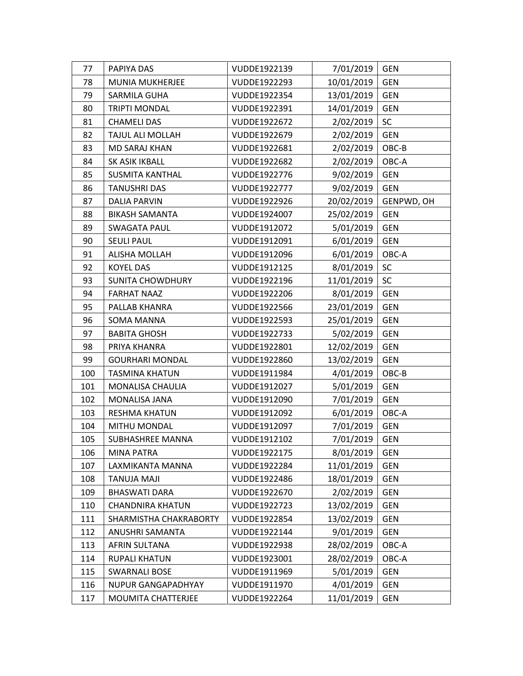| 77  | PAPIYA DAS                | VUDDE1922139 | 7/01/2019  | <b>GEN</b> |
|-----|---------------------------|--------------|------------|------------|
| 78  | MUNIA MUKHERJEE           | VUDDE1922293 | 10/01/2019 | <b>GEN</b> |
| 79  | SARMILA GUHA              | VUDDE1922354 | 13/01/2019 | <b>GEN</b> |
| 80  | <b>TRIPTI MONDAL</b>      | VUDDE1922391 | 14/01/2019 | <b>GEN</b> |
| 81  | <b>CHAMELI DAS</b>        | VUDDE1922672 | 2/02/2019  | SC         |
| 82  | TAJUL ALI MOLLAH          | VUDDE1922679 | 2/02/2019  | <b>GEN</b> |
| 83  | <b>MD SARAJ KHAN</b>      | VUDDE1922681 | 2/02/2019  | OBC-B      |
| 84  | SK ASIK IKBALL            | VUDDE1922682 | 2/02/2019  | OBC-A      |
| 85  | <b>SUSMITA KANTHAL</b>    | VUDDE1922776 | 9/02/2019  | <b>GEN</b> |
| 86  | <b>TANUSHRI DAS</b>       | VUDDE1922777 | 9/02/2019  | <b>GEN</b> |
| 87  | DALIA PARVIN              | VUDDE1922926 | 20/02/2019 | GENPWD, OH |
| 88  | <b>BIKASH SAMANTA</b>     | VUDDE1924007 | 25/02/2019 | <b>GEN</b> |
| 89  | <b>SWAGATA PAUL</b>       | VUDDE1912072 | 5/01/2019  | <b>GEN</b> |
| 90  | <b>SEULI PAUL</b>         | VUDDE1912091 | 6/01/2019  | <b>GEN</b> |
| 91  | ALISHA MOLLAH             | VUDDE1912096 | 6/01/2019  | OBC-A      |
| 92  | <b>KOYEL DAS</b>          | VUDDE1912125 | 8/01/2019  | SC         |
| 93  | <b>SUNITA CHOWDHURY</b>   | VUDDE1922196 | 11/01/2019 | SC         |
| 94  | <b>FARHAT NAAZ</b>        | VUDDE1922206 | 8/01/2019  | <b>GEN</b> |
| 95  | PALLAB KHANRA             | VUDDE1922566 | 23/01/2019 | <b>GEN</b> |
| 96  | SOMA MANNA                | VUDDE1922593 | 25/01/2019 | <b>GEN</b> |
| 97  | <b>BABITA GHOSH</b>       | VUDDE1922733 | 5/02/2019  | <b>GEN</b> |
| 98  | PRIYA KHANRA              | VUDDE1922801 | 12/02/2019 | <b>GEN</b> |
| 99  | <b>GOURHARI MONDAL</b>    | VUDDE1922860 | 13/02/2019 | <b>GEN</b> |
| 100 | <b>TASMINA KHATUN</b>     | VUDDE1911984 | 4/01/2019  | OBC-B      |
| 101 | MONALISA CHAULIA          | VUDDE1912027 | 5/01/2019  | <b>GEN</b> |
| 102 | MONALISA JANA             | VUDDE1912090 | 7/01/2019  | <b>GEN</b> |
| 103 | RESHMA KHATUN             | VUDDE1912092 | 6/01/2019  | OBC-A      |
| 104 | MITHU MONDAL              | VUDDE1912097 | 7/01/2019  | <b>GEN</b> |
| 105 | <b>SUBHASHREE MANNA</b>   | VUDDE1912102 | 7/01/2019  | <b>GEN</b> |
| 106 | <b>MINA PATRA</b>         | VUDDE1922175 | 8/01/2019  | <b>GEN</b> |
| 107 | LAXMIKANTA MANNA          | VUDDE1922284 | 11/01/2019 | <b>GEN</b> |
| 108 | ILAM ALUIAT               | VUDDE1922486 | 18/01/2019 | <b>GEN</b> |
| 109 | <b>BHASWATI DARA</b>      | VUDDE1922670 | 2/02/2019  | <b>GEN</b> |
| 110 | <b>CHANDNIRA KHATUN</b>   | VUDDE1922723 | 13/02/2019 | <b>GEN</b> |
| 111 | SHARMISTHA CHAKRABORTY    | VUDDE1922854 | 13/02/2019 | <b>GEN</b> |
| 112 | ANUSHRI SAMANTA           | VUDDE1922144 | 9/01/2019  | <b>GEN</b> |
| 113 | AFRIN SULTANA             | VUDDE1922938 | 28/02/2019 | OBC-A      |
| 114 | <b>RUPALI KHATUN</b>      | VUDDE1923001 | 28/02/2019 | OBC-A      |
| 115 | <b>SWARNALI BOSE</b>      | VUDDE1911969 | 5/01/2019  | <b>GEN</b> |
| 116 | <b>NUPUR GANGAPADHYAY</b> | VUDDE1911970 | 4/01/2019  | <b>GEN</b> |
| 117 | MOUMITA CHATTERJEE        | VUDDE1922264 | 11/01/2019 | <b>GEN</b> |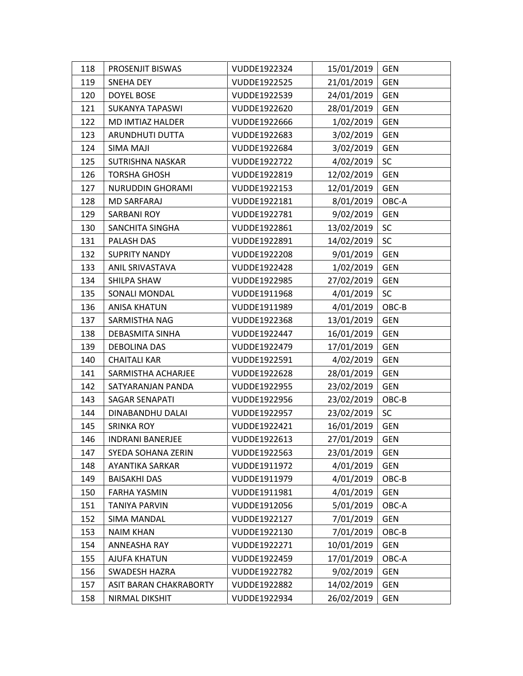| 118 | PROSENJIT BISWAS        | VUDDE1922324 | 15/01/2019 | <b>GEN</b> |
|-----|-------------------------|--------------|------------|------------|
| 119 | SNEHA DEY               | VUDDE1922525 | 21/01/2019 | <b>GEN</b> |
| 120 | <b>DOYEL BOSE</b>       | VUDDE1922539 | 24/01/2019 | <b>GEN</b> |
| 121 | <b>SUKANYA TAPASWI</b>  | VUDDE1922620 | 28/01/2019 | <b>GEN</b> |
| 122 | MD IMTIAZ HALDER        | VUDDE1922666 | 1/02/2019  | <b>GEN</b> |
| 123 | ARUNDHUTI DUTTA         | VUDDE1922683 | 3/02/2019  | <b>GEN</b> |
| 124 | SIMA MAJI               | VUDDE1922684 | 3/02/2019  | <b>GEN</b> |
| 125 | <b>SUTRISHNA NASKAR</b> | VUDDE1922722 | 4/02/2019  | <b>SC</b>  |
| 126 | <b>TORSHA GHOSH</b>     | VUDDE1922819 | 12/02/2019 | <b>GEN</b> |
| 127 | NURUDDIN GHORAMI        | VUDDE1922153 | 12/01/2019 | <b>GEN</b> |
| 128 | <b>MD SARFARAJ</b>      | VUDDE1922181 | 8/01/2019  | OBC-A      |
| 129 | <b>SARBANI ROY</b>      | VUDDE1922781 | 9/02/2019  | <b>GEN</b> |
| 130 | SANCHITA SINGHA         | VUDDE1922861 | 13/02/2019 | <b>SC</b>  |
| 131 | PALASH DAS              | VUDDE1922891 | 14/02/2019 | SC         |
| 132 | <b>SUPRITY NANDY</b>    | VUDDE1922208 | 9/01/2019  | <b>GEN</b> |
| 133 | ANIL SRIVASTAVA         | VUDDE1922428 | 1/02/2019  | <b>GEN</b> |
| 134 | SHILPA SHAW             | VUDDE1922985 | 27/02/2019 | <b>GEN</b> |
| 135 | SONALI MONDAL           | VUDDE1911968 | 4/01/2019  | <b>SC</b>  |
| 136 | <b>ANISA KHATUN</b>     | VUDDE1911989 | 4/01/2019  | OBC-B      |
| 137 | SARMISTHA NAG           | VUDDE1922368 | 13/01/2019 | <b>GEN</b> |
| 138 | DEBASMITA SINHA         | VUDDE1922447 | 16/01/2019 | <b>GEN</b> |
| 139 | <b>DEBOLINA DAS</b>     | VUDDE1922479 | 17/01/2019 | <b>GEN</b> |
| 140 | <b>CHAITALI KAR</b>     | VUDDE1922591 | 4/02/2019  | <b>GEN</b> |
| 141 | SARMISTHA ACHARJEE      | VUDDE1922628 | 28/01/2019 | <b>GEN</b> |
| 142 | SATYARANJAN PANDA       | VUDDE1922955 | 23/02/2019 | <b>GEN</b> |
| 143 | SAGAR SENAPATI          | VUDDE1922956 | 23/02/2019 | OBC-B      |
| 144 | DINABANDHU DALAI        | VUDDE1922957 | 23/02/2019 | <b>SC</b>  |
| 145 | <b>SRINKA ROY</b>       | VUDDE1922421 | 16/01/2019 | <b>GEN</b> |
| 146 | <b>INDRANI BANERJEE</b> | VUDDE1922613 | 27/01/2019 | <b>GEN</b> |
| 147 | SYEDA SOHANA ZERIN      | VUDDE1922563 | 23/01/2019 | <b>GEN</b> |
| 148 | <b>AYANTIKA SARKAR</b>  | VUDDE1911972 | 4/01/2019  | <b>GEN</b> |
| 149 | <b>BAISAKHI DAS</b>     | VUDDE1911979 | 4/01/2019  | OBC-B      |
| 150 | FARHA YASMIN            | VUDDE1911981 | 4/01/2019  | <b>GEN</b> |
| 151 | <b>TANIYA PARVIN</b>    | VUDDE1912056 | 5/01/2019  | OBC-A      |
| 152 | <b>SIMA MANDAL</b>      | VUDDE1922127 | 7/01/2019  | <b>GEN</b> |
| 153 | <b>NAIM KHAN</b>        | VUDDE1922130 | 7/01/2019  | OBC-B      |
| 154 | <b>ANNEASHA RAY</b>     | VUDDE1922271 | 10/01/2019 | <b>GEN</b> |
| 155 | <b>AJUFA KHATUN</b>     | VUDDE1922459 | 17/01/2019 | OBC-A      |
| 156 | <b>SWADESH HAZRA</b>    | VUDDE1922782 | 9/02/2019  | <b>GEN</b> |
| 157 | ASIT BARAN CHAKRABORTY  | VUDDE1922882 | 14/02/2019 | <b>GEN</b> |
| 158 | NIRMAL DIKSHIT          | VUDDE1922934 | 26/02/2019 | <b>GEN</b> |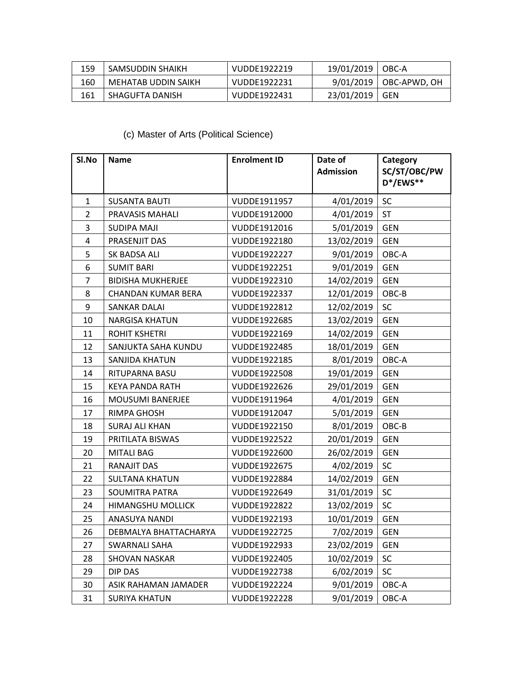| 159 | SAMSUDDIN SHAIKH    | VUDDE1922219 | 19/01/2019   OBC-A |                          |
|-----|---------------------|--------------|--------------------|--------------------------|
| 160 | MEHATAB UDDIN SAIKH | VUDDE1922231 |                    | 9/01/2019   OBC-APWD, OH |
| 161 | SHAGUFTA DANISH     | VUDDE1922431 | 23/01/2019   GEN   |                          |

## (c) Master of Arts (Political Science)

| SI.No          | <b>Name</b>               | <b>Enrolment ID</b> | Date of<br><b>Admission</b> | Category<br>SC/ST/OBC/PW<br>D*/EWS** |
|----------------|---------------------------|---------------------|-----------------------------|--------------------------------------|
| $\mathbf{1}$   | <b>SUSANTA BAUTI</b>      | VUDDE1911957        | 4/01/2019                   | SC                                   |
| $\overline{2}$ | <b>PRAVASIS MAHALI</b>    | VUDDE1912000        | 4/01/2019                   | <b>ST</b>                            |
| 3              | <b>SUDIPA MAJI</b>        | VUDDE1912016        | 5/01/2019                   | <b>GEN</b>                           |
| $\pmb{4}$      | PRASENJIT DAS             | VUDDE1922180        | 13/02/2019                  | <b>GEN</b>                           |
| 5              | SK BADSA ALI              | VUDDE1922227        | 9/01/2019                   | OBC-A                                |
| 6              | <b>SUMIT BARI</b>         | VUDDE1922251        | 9/01/2019                   | <b>GEN</b>                           |
| $\overline{7}$ | <b>BIDISHA MUKHERJEE</b>  | VUDDE1922310        | 14/02/2019                  | <b>GEN</b>                           |
| 8              | <b>CHANDAN KUMAR BERA</b> | VUDDE1922337        | 12/01/2019                  | OBC-B                                |
| 9              | SANKAR DALAI              | VUDDE1922812        | 12/02/2019                  | <b>SC</b>                            |
| 10             | <b>NARGISA KHATUN</b>     | VUDDE1922685        | 13/02/2019                  | <b>GEN</b>                           |
| 11             | <b>ROHIT KSHETRI</b>      | VUDDE1922169        | 14/02/2019                  | <b>GEN</b>                           |
| 12             | SANJUKTA SAHA KUNDU       | VUDDE1922485        | 18/01/2019                  | <b>GEN</b>                           |
| 13             | SANJIDA KHATUN            | VUDDE1922185        | 8/01/2019                   | OBC-A                                |
| 14             | RITUPARNA BASU            | VUDDE1922508        | 19/01/2019                  | <b>GEN</b>                           |
| 15             | KEYA PANDA RATH           | VUDDE1922626        | 29/01/2019                  | <b>GEN</b>                           |
| 16             | <b>MOUSUMI BANERJEE</b>   | VUDDE1911964        | 4/01/2019                   | <b>GEN</b>                           |
| 17             | RIMPA GHOSH               | VUDDE1912047        | 5/01/2019                   | <b>GEN</b>                           |
| 18             | <b>SURAJ ALI KHAN</b>     | VUDDE1922150        | 8/01/2019                   | OBC-B                                |
| 19             | PRITILATA BISWAS          | VUDDE1922522        | 20/01/2019                  | <b>GEN</b>                           |
| 20             | <b>MITALI BAG</b>         | VUDDE1922600        | 26/02/2019                  | <b>GEN</b>                           |
| 21             | RANAJIT DAS               | VUDDE1922675        | 4/02/2019                   | SC                                   |
| 22             | <b>SULTANA KHATUN</b>     | VUDDE1922884        | 14/02/2019                  | <b>GEN</b>                           |
| 23             | <b>SOUMITRA PATRA</b>     | VUDDE1922649        | 31/01/2019                  | SC                                   |
| 24             | <b>HIMANGSHU MOLLICK</b>  | VUDDE1922822        | 13/02/2019                  | SC                                   |
| 25             | ANASUYA NANDI             | VUDDE1922193        | 10/01/2019                  | <b>GEN</b>                           |
| 26             | DEBMALYA BHATTACHARYA     | VUDDE1922725        | 7/02/2019                   | GEN                                  |
| 27             | SWARNALI SAHA             | VUDDE1922933        | 23/02/2019                  | <b>GEN</b>                           |
| 28             | <b>SHOVAN NASKAR</b>      | VUDDE1922405        | 10/02/2019                  | SC                                   |
| 29             | DIP DAS                   | VUDDE1922738        | 6/02/2019                   | SC                                   |
| 30             | ASIK RAHAMAN JAMADER      | VUDDE1922224        | 9/01/2019                   | OBC-A                                |
| 31             | <b>SURIYA KHATUN</b>      | VUDDE1922228        | 9/01/2019                   | OBC-A                                |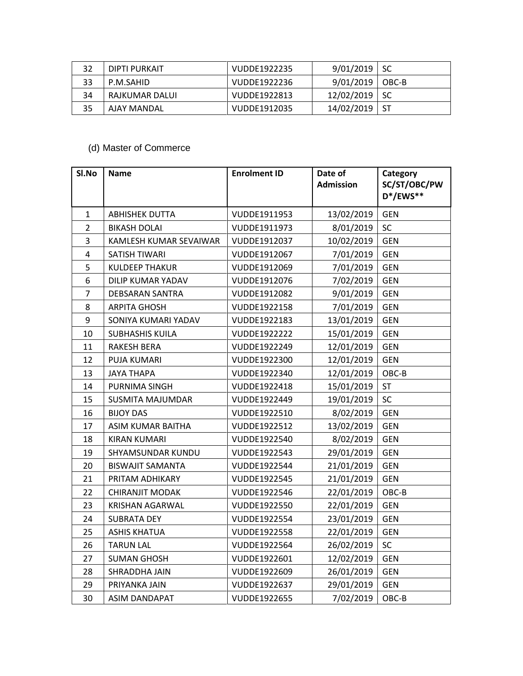| 32 | DIPTI PURKAIT  | VUDDE1922235 | 9/01/2019           | l SC |
|----|----------------|--------------|---------------------|------|
| 33 | P.M.SAHID      | VUDDE1922236 | $9/01/2019$   OBC-B |      |
| 34 | RAJKUMAR DALUI | VUDDE1922813 | $12/02/2019$ SC     |      |
| 35 | AJAY MANDAL    | VUDDE1912035 | 14/02/2019          | -ST  |

## (d) Master of Commerce

| Sl.No            | <b>Name</b>              | <b>Enrolment ID</b> | Date of<br><b>Admission</b> | Category<br>SC/ST/OBC/PW<br>D*/EWS** |
|------------------|--------------------------|---------------------|-----------------------------|--------------------------------------|
| $\mathbf{1}$     | <b>ABHISHEK DUTTA</b>    | VUDDE1911953        | 13/02/2019                  | <b>GEN</b>                           |
| $\overline{2}$   | <b>BIKASH DOLAI</b>      | VUDDE1911973        | 8/01/2019                   | SC                                   |
| 3                | KAMLESH KUMAR SEVAIWAR   | VUDDE1912037        | 10/02/2019                  | <b>GEN</b>                           |
| 4                | SATISH TIWARI            | VUDDE1912067        | 7/01/2019                   | <b>GEN</b>                           |
| 5                | <b>KULDEEP THAKUR</b>    | VUDDE1912069        | 7/01/2019                   | <b>GEN</b>                           |
| $\boldsymbol{6}$ | <b>DILIP KUMAR YADAV</b> | VUDDE1912076        | 7/02/2019                   | <b>GEN</b>                           |
| $\overline{7}$   | <b>DEBSARAN SANTRA</b>   | VUDDE1912082        | 9/01/2019                   | <b>GEN</b>                           |
| 8                | <b>ARPITA GHOSH</b>      | VUDDE1922158        | 7/01/2019                   | <b>GEN</b>                           |
| 9                | SONIYA KUMARI YADAV      | VUDDE1922183        | 13/01/2019                  | <b>GEN</b>                           |
| 10               | <b>SUBHASHIS KUILA</b>   | VUDDE1922222        | 15/01/2019                  | <b>GEN</b>                           |
| 11               | <b>RAKESH BERA</b>       | VUDDE1922249        | 12/01/2019                  | <b>GEN</b>                           |
| 12               | PUJA KUMARI              | VUDDE1922300        | 12/01/2019                  | <b>GEN</b>                           |
| 13               | <b>JAYA THAPA</b>        | VUDDE1922340        | 12/01/2019                  | OBC-B                                |
| 14               | PURNIMA SINGH            | VUDDE1922418        | 15/01/2019                  | <b>ST</b>                            |
| 15               | <b>SUSMITA MAJUMDAR</b>  | VUDDE1922449        | 19/01/2019                  | <b>SC</b>                            |
| 16               | <b>BIJOY DAS</b>         | VUDDE1922510        | 8/02/2019                   | <b>GEN</b>                           |
| 17               | ASIM KUMAR BAITHA        | VUDDE1922512        | 13/02/2019                  | <b>GEN</b>                           |
| 18               | <b>KIRAN KUMARI</b>      | VUDDE1922540        | 8/02/2019                   | <b>GEN</b>                           |
| 19               | SHYAMSUNDAR KUNDU        | VUDDE1922543        | 29/01/2019                  | <b>GEN</b>                           |
| 20               | <b>BISWAJIT SAMANTA</b>  | VUDDE1922544        | 21/01/2019                  | <b>GEN</b>                           |
| 21               | PRITAM ADHIKARY          | VUDDE1922545        | 21/01/2019                  | <b>GEN</b>                           |
| 22               | <b>CHIRANJIT MODAK</b>   | VUDDE1922546        | 22/01/2019                  | OBC-B                                |
| 23               | <b>KRISHAN AGARWAL</b>   | VUDDE1922550        | 22/01/2019                  | <b>GEN</b>                           |
| 24               | <b>SUBRATA DEY</b>       | VUDDE1922554        | 23/01/2019                  | <b>GEN</b>                           |
| 25               | <b>ASHIS KHATUA</b>      | VUDDE1922558        | 22/01/2019                  | <b>GEN</b>                           |
| 26               | <b>TARUN LAL</b>         | VUDDE1922564        | 26/02/2019                  | SC                                   |
| 27               | <b>SUMAN GHOSH</b>       | VUDDE1922601        | 12/02/2019                  | <b>GEN</b>                           |
| 28               | SHRADDHA JAIN            | VUDDE1922609        | 26/01/2019                  | <b>GEN</b>                           |
| 29               | PRIYANKA JAIN            | VUDDE1922637        | 29/01/2019                  | <b>GEN</b>                           |
| 30               | <b>ASIM DANDAPAT</b>     | VUDDE1922655        | 7/02/2019                   | OBC-B                                |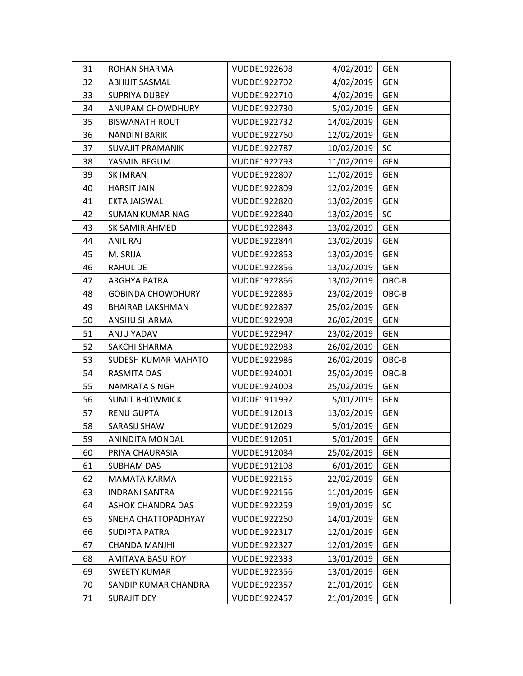| 31 | <b>ROHAN SHARMA</b>        | VUDDE1922698 | 4/02/2019  | <b>GEN</b> |
|----|----------------------------|--------------|------------|------------|
| 32 | <b>ABHIJIT SASMAL</b>      | VUDDE1922702 | 4/02/2019  | <b>GEN</b> |
| 33 | <b>SUPRIYA DUBEY</b>       | VUDDE1922710 | 4/02/2019  | <b>GEN</b> |
| 34 | ANUPAM CHOWDHURY           | VUDDE1922730 | 5/02/2019  | <b>GEN</b> |
| 35 | <b>BISWANATH ROUT</b>      | VUDDE1922732 | 14/02/2019 | <b>GEN</b> |
| 36 | <b>NANDINI BARIK</b>       | VUDDE1922760 | 12/02/2019 | GEN        |
| 37 | <b>SUVAJIT PRAMANIK</b>    | VUDDE1922787 | 10/02/2019 | SC         |
| 38 | YASMIN BEGUM               | VUDDE1922793 | 11/02/2019 | <b>GEN</b> |
| 39 | <b>SK IMRAN</b>            | VUDDE1922807 | 11/02/2019 | <b>GEN</b> |
| 40 | <b>HARSIT JAIN</b>         | VUDDE1922809 | 12/02/2019 | <b>GEN</b> |
| 41 | EKTA JAISWAL               | VUDDE1922820 | 13/02/2019 | <b>GEN</b> |
| 42 | <b>SUMAN KUMAR NAG</b>     | VUDDE1922840 | 13/02/2019 | SC         |
| 43 | SK SAMIR AHMED             | VUDDE1922843 | 13/02/2019 | <b>GEN</b> |
| 44 | ANIL RAJ                   | VUDDE1922844 | 13/02/2019 | <b>GEN</b> |
| 45 | M. SRIJA                   | VUDDE1922853 | 13/02/2019 | <b>GEN</b> |
| 46 | <b>RAHUL DE</b>            | VUDDE1922856 | 13/02/2019 | <b>GEN</b> |
| 47 | ARGHYA PATRA               | VUDDE1922866 | 13/02/2019 | OBC-B      |
| 48 | <b>GOBINDA CHOWDHURY</b>   | VUDDE1922885 | 23/02/2019 | OBC-B      |
| 49 | <b>BHAIRAB LAKSHMAN</b>    | VUDDE1922897 | 25/02/2019 | <b>GEN</b> |
| 50 | ANSHU SHARMA               | VUDDE1922908 | 26/02/2019 | <b>GEN</b> |
| 51 | ANJU YADAV                 | VUDDE1922947 | 23/02/2019 | <b>GEN</b> |
| 52 | SAKCHI SHARMA              | VUDDE1922983 | 26/02/2019 | <b>GEN</b> |
| 53 | <b>SUDESH KUMAR MAHATO</b> | VUDDE1922986 | 26/02/2019 | OBC-B      |
| 54 | RASMITA DAS                | VUDDE1924001 | 25/02/2019 | OBC-B      |
| 55 | NAMRATA SINGH              | VUDDE1924003 | 25/02/2019 | <b>GEN</b> |
| 56 | <b>SUMIT BHOWMICK</b>      | VUDDE1911992 | 5/01/2019  | <b>GEN</b> |
| 57 | <b>RENU GUPTA</b>          | VUDDE1912013 | 13/02/2019 | <b>GEN</b> |
| 58 | SARASIJ SHAW               | VUDDE1912029 | 5/01/2019  | <b>GEN</b> |
| 59 | <b>ANINDITA MONDAL</b>     | VUDDE1912051 | 5/01/2019  | <b>GEN</b> |
| 60 | PRIYA CHAURASIA            | VUDDE1912084 | 25/02/2019 | <b>GEN</b> |
| 61 | <b>SUBHAM DAS</b>          | VUDDE1912108 | 6/01/2019  | <b>GEN</b> |
| 62 | <b>MAMATA KARMA</b>        | VUDDE1922155 | 22/02/2019 | <b>GEN</b> |
| 63 | <b>INDRANI SANTRA</b>      | VUDDE1922156 | 11/01/2019 | <b>GEN</b> |
| 64 | <b>ASHOK CHANDRA DAS</b>   | VUDDE1922259 | 19/01/2019 | SC         |
| 65 | SNEHA CHATTOPADHYAY        | VUDDE1922260 | 14/01/2019 | <b>GEN</b> |
| 66 | <b>SUDIPTA PATRA</b>       | VUDDE1922317 | 12/01/2019 | <b>GEN</b> |
| 67 | CHANDA MANJHI              | VUDDE1922327 | 12/01/2019 | <b>GEN</b> |
| 68 | AMITAVA BASU ROY           | VUDDE1922333 | 13/01/2019 | <b>GEN</b> |
| 69 | <b>SWEETY KUMAR</b>        | VUDDE1922356 | 13/01/2019 | <b>GEN</b> |
| 70 | SANDIP KUMAR CHANDRA       | VUDDE1922357 | 21/01/2019 | <b>GEN</b> |
| 71 | <b>SURAJIT DEY</b>         | VUDDE1922457 | 21/01/2019 | <b>GEN</b> |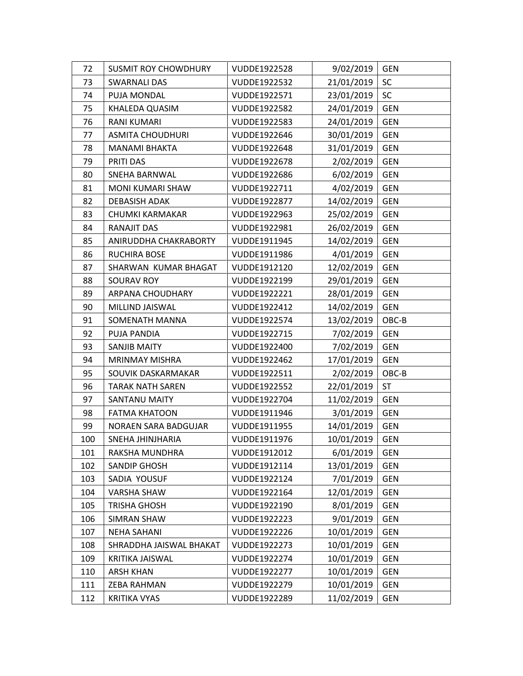| 72  | <b>SUSMIT ROY CHOWDHURY</b> | VUDDE1922528 | 9/02/2019  | <b>GEN</b> |
|-----|-----------------------------|--------------|------------|------------|
| 73  | <b>SWARNALI DAS</b>         | VUDDE1922532 | 21/01/2019 | SC         |
| 74  | PUJA MONDAL                 | VUDDE1922571 | 23/01/2019 | <b>SC</b>  |
| 75  | <b>KHALEDA QUASIM</b>       | VUDDE1922582 | 24/01/2019 | <b>GEN</b> |
| 76  | RANI KUMARI                 | VUDDE1922583 | 24/01/2019 | <b>GEN</b> |
| 77  | <b>ASMITA CHOUDHURI</b>     | VUDDE1922646 | 30/01/2019 | <b>GEN</b> |
| 78  | <b>MANAMI BHAKTA</b>        | VUDDE1922648 | 31/01/2019 | <b>GEN</b> |
| 79  | PRITI DAS                   | VUDDE1922678 | 2/02/2019  | <b>GEN</b> |
| 80  | <b>SNEHA BARNWAL</b>        | VUDDE1922686 | 6/02/2019  | <b>GEN</b> |
| 81  | MONI KUMARI SHAW            | VUDDE1922711 | 4/02/2019  | <b>GEN</b> |
| 82  | DEBASISH ADAK               | VUDDE1922877 | 14/02/2019 | <b>GEN</b> |
| 83  | CHUMKI KARMAKAR             | VUDDE1922963 | 25/02/2019 | <b>GEN</b> |
| 84  | RANAJIT DAS                 | VUDDE1922981 | 26/02/2019 | <b>GEN</b> |
| 85  | ANIRUDDHA CHAKRABORTY       | VUDDE1911945 | 14/02/2019 | <b>GEN</b> |
| 86  | RUCHIRA BOSE                | VUDDE1911986 | 4/01/2019  | <b>GEN</b> |
| 87  | SHARWAN KUMAR BHAGAT        | VUDDE1912120 | 12/02/2019 | <b>GEN</b> |
| 88  | SOURAV ROY                  | VUDDE1922199 | 29/01/2019 | <b>GEN</b> |
| 89  | ARPANA CHOUDHARY            | VUDDE1922221 | 28/01/2019 | <b>GEN</b> |
| 90  | MILLIND JAISWAL             | VUDDE1922412 | 14/02/2019 | <b>GEN</b> |
| 91  | SOMENATH MANNA              | VUDDE1922574 | 13/02/2019 | $OBC-B$    |
| 92  | PUJA PANDIA                 | VUDDE1922715 | 7/02/2019  | <b>GEN</b> |
| 93  | <b>SANJIB MAITY</b>         | VUDDE1922400 | 7/02/2019  | <b>GEN</b> |
| 94  | <b>MRINMAY MISHRA</b>       | VUDDE1922462 | 17/01/2019 | <b>GEN</b> |
| 95  | SOUVIK DASKARMAKAR          | VUDDE1922511 | 2/02/2019  | OBC-B      |
| 96  | <b>TARAK NATH SAREN</b>     | VUDDE1922552 | 22/01/2019 | <b>ST</b>  |
| 97  | SANTANU MAITY               | VUDDE1922704 | 11/02/2019 | <b>GEN</b> |
| 98  | <b>FATMA KHATOON</b>        | VUDDE1911946 | 3/01/2019  | <b>GEN</b> |
| 99  | NORAEN SARA BADGUJAR        | VUDDE1911955 | 14/01/2019 | <b>GEN</b> |
| 100 | SNEHA JHINJHARIA            | VUDDE1911976 | 10/01/2019 | <b>GEN</b> |
| 101 | RAKSHA MUNDHRA              | VUDDE1912012 | 6/01/2019  | <b>GEN</b> |
| 102 | <b>SANDIP GHOSH</b>         | VUDDE1912114 | 13/01/2019 | <b>GEN</b> |
| 103 | SADIA YOUSUF                | VUDDE1922124 | 7/01/2019  | <b>GEN</b> |
| 104 | <b>VARSHA SHAW</b>          | VUDDE1922164 | 12/01/2019 | <b>GEN</b> |
| 105 | <b>TRISHA GHOSH</b>         | VUDDE1922190 | 8/01/2019  | <b>GEN</b> |
| 106 | SIMRAN SHAW                 | VUDDE1922223 | 9/01/2019  | GEN        |
| 107 | <b>NEHA SAHANI</b>          | VUDDE1922226 | 10/01/2019 | <b>GEN</b> |
| 108 | SHRADDHA JAISWAL BHAKAT     | VUDDE1922273 | 10/01/2019 | GEN        |
| 109 | KRITIKA JAISWAL             | VUDDE1922274 | 10/01/2019 | <b>GEN</b> |
| 110 | <b>ARSH KHAN</b>            | VUDDE1922277 | 10/01/2019 | <b>GEN</b> |
| 111 | ZEBA RAHMAN                 | VUDDE1922279 | 10/01/2019 | <b>GEN</b> |
| 112 | <b>KRITIKA VYAS</b>         | VUDDE1922289 | 11/02/2019 | <b>GEN</b> |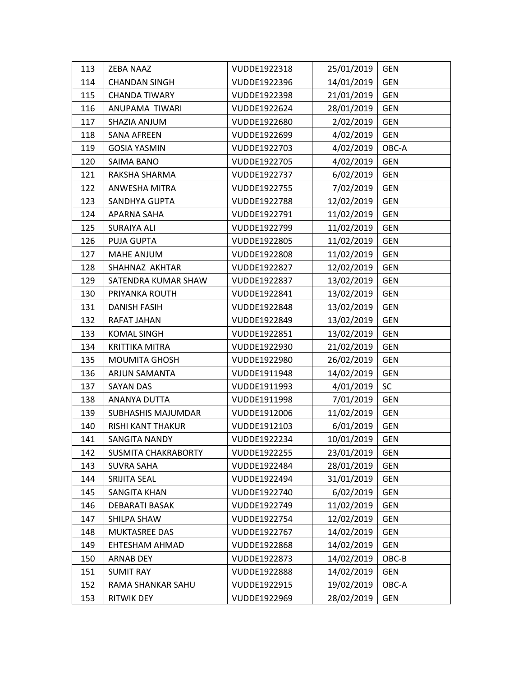| 113 | <b>ZEBA NAAZ</b>           | VUDDE1922318 | 25/01/2019 | <b>GEN</b> |
|-----|----------------------------|--------------|------------|------------|
| 114 | <b>CHANDAN SINGH</b>       | VUDDE1922396 | 14/01/2019 | <b>GEN</b> |
| 115 | <b>CHANDA TIWARY</b>       | VUDDE1922398 | 21/01/2019 | <b>GEN</b> |
| 116 | ANUPAMA TIWARI             | VUDDE1922624 | 28/01/2019 | <b>GEN</b> |
| 117 | SHAZIA ANJUM               | VUDDE1922680 | 2/02/2019  | <b>GEN</b> |
| 118 | <b>SANA AFREEN</b>         | VUDDE1922699 | 4/02/2019  | <b>GEN</b> |
| 119 | <b>GOSIA YASMIN</b>        | VUDDE1922703 | 4/02/2019  | OBC-A      |
| 120 | SAIMA BANO                 | VUDDE1922705 | 4/02/2019  | <b>GEN</b> |
| 121 | RAKSHA SHARMA              | VUDDE1922737 | 6/02/2019  | <b>GEN</b> |
| 122 | <b>ANWESHA MITRA</b>       | VUDDE1922755 | 7/02/2019  | <b>GEN</b> |
| 123 | SANDHYA GUPTA              | VUDDE1922788 | 12/02/2019 | <b>GEN</b> |
| 124 | APARNA SAHA                | VUDDE1922791 | 11/02/2019 | <b>GEN</b> |
| 125 | <b>SURAIYA ALI</b>         | VUDDE1922799 | 11/02/2019 | <b>GEN</b> |
| 126 | <b>PUJA GUPTA</b>          | VUDDE1922805 | 11/02/2019 | <b>GEN</b> |
| 127 | <b>MAHE ANJUM</b>          | VUDDE1922808 | 11/02/2019 | <b>GEN</b> |
| 128 | SHAHNAZ AKHTAR             | VUDDE1922827 | 12/02/2019 | <b>GEN</b> |
| 129 | SATENDRA KUMAR SHAW        | VUDDE1922837 | 13/02/2019 | <b>GEN</b> |
| 130 | PRIYANKA ROUTH             | VUDDE1922841 | 13/02/2019 | <b>GEN</b> |
| 131 | <b>DANISH FASIH</b>        | VUDDE1922848 | 13/02/2019 | <b>GEN</b> |
| 132 | RAFAT JAHAN                | VUDDE1922849 | 13/02/2019 | <b>GEN</b> |
| 133 | <b>KOMAL SINGH</b>         | VUDDE1922851 | 13/02/2019 | <b>GEN</b> |
| 134 | <b>KRITTIKA MITRA</b>      | VUDDE1922930 | 21/02/2019 | <b>GEN</b> |
| 135 | <b>MOUMITA GHOSH</b>       | VUDDE1922980 | 26/02/2019 | <b>GEN</b> |
| 136 | ARJUN SAMANTA              | VUDDE1911948 | 14/02/2019 | <b>GEN</b> |
| 137 | SAYAN DAS                  | VUDDE1911993 | 4/01/2019  | <b>SC</b>  |
| 138 | ANANYA DUTTA               | VUDDE1911998 | 7/01/2019  | <b>GEN</b> |
| 139 | <b>SUBHASHIS MAJUMDAR</b>  | VUDDE1912006 | 11/02/2019 | <b>GEN</b> |
| 140 | RISHI KANT THAKUR          | VUDDE1912103 | 6/01/2019  | <b>GEN</b> |
| 141 | <b>SANGITA NANDY</b>       | VUDDE1922234 | 10/01/2019 | <b>GEN</b> |
| 142 | <b>SUSMITA CHAKRABORTY</b> | VUDDE1922255 | 23/01/2019 | <b>GEN</b> |
| 143 | <b>SUVRA SAHA</b>          | VUDDE1922484 | 28/01/2019 | <b>GEN</b> |
| 144 | SRIJITA SEAL               | VUDDE1922494 | 31/01/2019 | <b>GEN</b> |
| 145 | <b>SANGITA KHAN</b>        | VUDDE1922740 | 6/02/2019  | <b>GEN</b> |
| 146 | DEBARATI BASAK             | VUDDE1922749 | 11/02/2019 | <b>GEN</b> |
| 147 | SHILPA SHAW                | VUDDE1922754 | 12/02/2019 | <b>GEN</b> |
| 148 | <b>MUKTASREE DAS</b>       | VUDDE1922767 | 14/02/2019 | <b>GEN</b> |
| 149 | EHTESHAM AHMAD             | VUDDE1922868 | 14/02/2019 | <b>GEN</b> |
| 150 | <b>ARNAB DEY</b>           | VUDDE1922873 | 14/02/2019 | OBC-B      |
| 151 | <b>SUMIT RAY</b>           | VUDDE1922888 | 14/02/2019 | <b>GEN</b> |
| 152 | RAMA SHANKAR SAHU          | VUDDE1922915 | 19/02/2019 | OBC-A      |
| 153 | <b>RITWIK DEY</b>          | VUDDE1922969 | 28/02/2019 | <b>GEN</b> |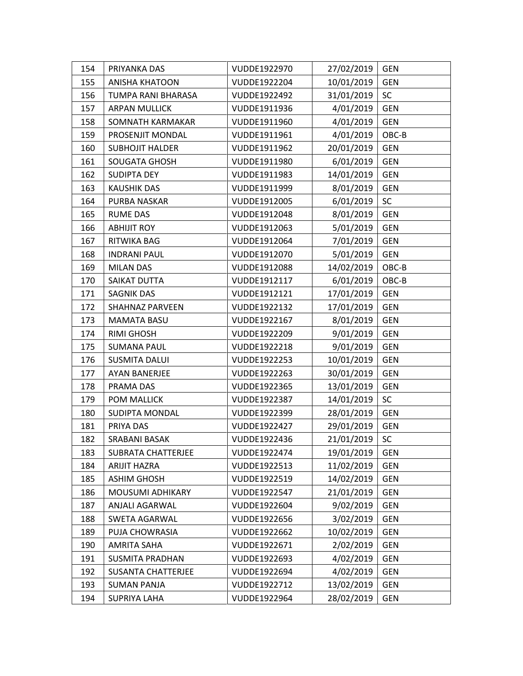| 154 | PRIYANKA DAS              | VUDDE1922970 | 27/02/2019 | <b>GEN</b> |
|-----|---------------------------|--------------|------------|------------|
| 155 | <b>ANISHA KHATOON</b>     | VUDDE1922204 | 10/01/2019 | <b>GEN</b> |
| 156 | TUMPA RANI BHARASA        | VUDDE1922492 | 31/01/2019 | <b>SC</b>  |
| 157 | ARPAN MULLICK             | VUDDE1911936 | 4/01/2019  | <b>GEN</b> |
| 158 | SOMNATH KARMAKAR          | VUDDE1911960 | 4/01/2019  | <b>GEN</b> |
| 159 | PROSENJIT MONDAL          | VUDDE1911961 | 4/01/2019  | OBC-B      |
| 160 | <b>SUBHOJIT HALDER</b>    | VUDDE1911962 | 20/01/2019 | <b>GEN</b> |
| 161 | SOUGATA GHOSH             | VUDDE1911980 | 6/01/2019  | <b>GEN</b> |
| 162 | <b>SUDIPTA DEY</b>        | VUDDE1911983 | 14/01/2019 | <b>GEN</b> |
| 163 | <b>KAUSHIK DAS</b>        | VUDDE1911999 | 8/01/2019  | <b>GEN</b> |
| 164 | PURBA NASKAR              | VUDDE1912005 | 6/01/2019  | <b>SC</b>  |
| 165 | <b>RUME DAS</b>           | VUDDE1912048 | 8/01/2019  | <b>GEN</b> |
| 166 | <b>ABHIJIT ROY</b>        | VUDDE1912063 | 5/01/2019  | <b>GEN</b> |
| 167 | RITWIKA BAG               | VUDDE1912064 | 7/01/2019  | <b>GEN</b> |
| 168 | <b>INDRANI PAUL</b>       | VUDDE1912070 | 5/01/2019  | <b>GEN</b> |
| 169 | <b>MILAN DAS</b>          | VUDDE1912088 | 14/02/2019 | OBC-B      |
| 170 | SAIKAT DUTTA              | VUDDE1912117 | 6/01/2019  | OBC-B      |
| 171 | SAGNIK DAS                | VUDDE1912121 | 17/01/2019 | <b>GEN</b> |
| 172 | <b>SHAHNAZ PARVEEN</b>    | VUDDE1922132 | 17/01/2019 | <b>GEN</b> |
| 173 | <b>MAMATA BASU</b>        | VUDDE1922167 | 8/01/2019  | <b>GEN</b> |
| 174 | <b>RIMI GHOSH</b>         | VUDDE1922209 | 9/01/2019  | <b>GEN</b> |
| 175 | <b>SUMANA PAUL</b>        | VUDDE1922218 | 9/01/2019  | <b>GEN</b> |
| 176 | <b>SUSMITA DALUI</b>      | VUDDE1922253 | 10/01/2019 | <b>GEN</b> |
| 177 | <b>AYAN BANERJEE</b>      | VUDDE1922263 | 30/01/2019 | <b>GEN</b> |
| 178 | PRAMA DAS                 | VUDDE1922365 | 13/01/2019 | <b>GEN</b> |
| 179 | POM MALLICK               | VUDDE1922387 | 14/01/2019 | <b>SC</b>  |
| 180 | SUDIPTA MONDAL            | VUDDE1922399 | 28/01/2019 | <b>GEN</b> |
| 181 | PRIYA DAS                 | VUDDE1922427 | 29/01/2019 | <b>GEN</b> |
| 182 | SRABANI BASAK             | VUDDE1922436 | 21/01/2019 | SC         |
| 183 | <b>SUBRATA CHATTERJEE</b> | VUDDE1922474 | 19/01/2019 | <b>GEN</b> |
| 184 | <b>ARIJIT HAZRA</b>       | VUDDE1922513 | 11/02/2019 | <b>GEN</b> |
| 185 | <b>ASHIM GHOSH</b>        | VUDDE1922519 | 14/02/2019 | <b>GEN</b> |
| 186 | MOUSUMI ADHIKARY          | VUDDE1922547 | 21/01/2019 | <b>GEN</b> |
| 187 | ANJALI AGARWAL            | VUDDE1922604 | 9/02/2019  | <b>GEN</b> |
| 188 | <b>SWETA AGARWAL</b>      | VUDDE1922656 | 3/02/2019  | <b>GEN</b> |
| 189 | PUJA CHOWRASIA            | VUDDE1922662 | 10/02/2019 | <b>GEN</b> |
| 190 | <b>AMRITA SAHA</b>        | VUDDE1922671 | 2/02/2019  | <b>GEN</b> |
| 191 | <b>SUSMITA PRADHAN</b>    | VUDDE1922693 | 4/02/2019  | <b>GEN</b> |
| 192 | <b>SUSANTA CHATTERJEE</b> | VUDDE1922694 | 4/02/2019  | <b>GEN</b> |
| 193 | <b>SUMAN PANJA</b>        | VUDDE1922712 | 13/02/2019 | <b>GEN</b> |
| 194 | <b>SUPRIYA LAHA</b>       | VUDDE1922964 | 28/02/2019 | <b>GEN</b> |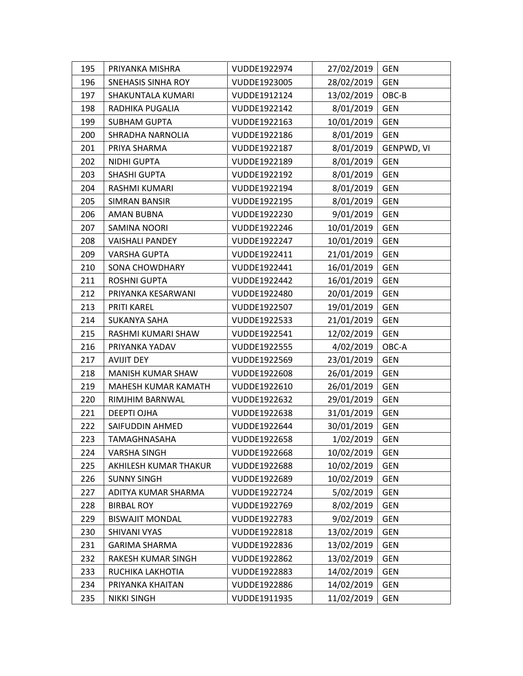| 195 | PRIYANKA MISHRA           | VUDDE1922974 | 27/02/2019 | <b>GEN</b> |
|-----|---------------------------|--------------|------------|------------|
| 196 | <b>SNEHASIS SINHA ROY</b> | VUDDE1923005 | 28/02/2019 | <b>GEN</b> |
| 197 | SHAKUNTALA KUMARI         | VUDDE1912124 | 13/02/2019 | OBC-B      |
| 198 | RADHIKA PUGALIA           | VUDDE1922142 | 8/01/2019  | <b>GEN</b> |
| 199 | SUBHAM GUPTA              | VUDDE1922163 | 10/01/2019 | <b>GEN</b> |
| 200 | SHRADHA NARNOLIA          | VUDDE1922186 | 8/01/2019  | <b>GEN</b> |
| 201 | PRIYA SHARMA              | VUDDE1922187 | 8/01/2019  | GENPWD, VI |
| 202 | NIDHI GUPTA               | VUDDE1922189 | 8/01/2019  | <b>GEN</b> |
| 203 | <b>SHASHI GUPTA</b>       | VUDDE1922192 | 8/01/2019  | <b>GEN</b> |
| 204 | RASHMI KUMARI             | VUDDE1922194 | 8/01/2019  | <b>GEN</b> |
| 205 | SIMRAN BANSIR             | VUDDE1922195 | 8/01/2019  | <b>GEN</b> |
| 206 | AMAN BUBNA                | VUDDE1922230 | 9/01/2019  | GEN        |
| 207 | <b>SAMINA NOORI</b>       | VUDDE1922246 | 10/01/2019 | <b>GEN</b> |
| 208 | <b>VAISHALI PANDEY</b>    | VUDDE1922247 | 10/01/2019 | <b>GEN</b> |
| 209 | <b>VARSHA GUPTA</b>       | VUDDE1922411 | 21/01/2019 | <b>GEN</b> |
| 210 | <b>SONA CHOWDHARY</b>     | VUDDE1922441 | 16/01/2019 | <b>GEN</b> |
| 211 | <b>ROSHNI GUPTA</b>       | VUDDE1922442 | 16/01/2019 | <b>GEN</b> |
| 212 | PRIYANKA KESARWANI        | VUDDE1922480 | 20/01/2019 | <b>GEN</b> |
| 213 | PRITI KAREL               | VUDDE1922507 | 19/01/2019 | <b>GEN</b> |
| 214 | <b>SUKANYA SAHA</b>       | VUDDE1922533 | 21/01/2019 | <b>GEN</b> |
| 215 | RASHMI KUMARI SHAW        | VUDDE1922541 | 12/02/2019 | <b>GEN</b> |
| 216 | PRIYANKA YADAV            | VUDDE1922555 | 4/02/2019  | OBC-A      |
| 217 | <b>AVIJIT DEY</b>         | VUDDE1922569 | 23/01/2019 | <b>GEN</b> |
| 218 | MANISH KUMAR SHAW         | VUDDE1922608 | 26/01/2019 | <b>GEN</b> |
| 219 | MAHESH KUMAR KAMATH       | VUDDE1922610 | 26/01/2019 | <b>GEN</b> |
| 220 | RIMJHIM BARNWAL           | VUDDE1922632 | 29/01/2019 | <b>GEN</b> |
| 221 | <b>DEEPTI OJHA</b>        | VUDDE1922638 | 31/01/2019 | GEN        |
| 222 | SAIFUDDIN AHMED           | VUDDE1922644 | 30/01/2019 | <b>GEN</b> |
| 223 | TAMAGHNASAHA              | VUDDE1922658 | 1/02/2019  | <b>GEN</b> |
| 224 | <b>VARSHA SINGH</b>       | VUDDE1922668 | 10/02/2019 | <b>GEN</b> |
| 225 | AKHILESH KUMAR THAKUR     | VUDDE1922688 | 10/02/2019 | <b>GEN</b> |
| 226 | <b>SUNNY SINGH</b>        | VUDDE1922689 | 10/02/2019 | <b>GEN</b> |
| 227 | ADITYA KUMAR SHARMA       | VUDDE1922724 | 5/02/2019  | <b>GEN</b> |
| 228 | <b>BIRBAL ROY</b>         | VUDDE1922769 | 8/02/2019  | <b>GEN</b> |
| 229 | <b>BISWAJIT MONDAL</b>    | VUDDE1922783 | 9/02/2019  | <b>GEN</b> |
| 230 | SHIVANI VYAS              | VUDDE1922818 | 13/02/2019 | <b>GEN</b> |
| 231 | <b>GARIMA SHARMA</b>      | VUDDE1922836 | 13/02/2019 | <b>GEN</b> |
| 232 | RAKESH KUMAR SINGH        | VUDDE1922862 | 13/02/2019 | <b>GEN</b> |
| 233 | RUCHIKA LAKHOTIA          | VUDDE1922883 | 14/02/2019 | <b>GEN</b> |
| 234 | PRIYANKA KHAITAN          | VUDDE1922886 | 14/02/2019 | <b>GEN</b> |
| 235 | <b>NIKKI SINGH</b>        | VUDDE1911935 | 11/02/2019 | <b>GEN</b> |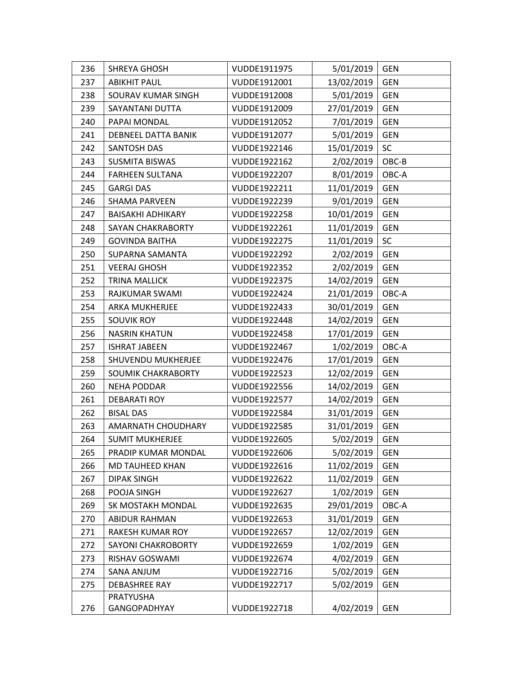| 236 | <b>SHREYA GHOSH</b>       | VUDDE1911975 | 5/01/2019  | <b>GEN</b> |
|-----|---------------------------|--------------|------------|------------|
| 237 | <b>ABIKHIT PAUL</b>       | VUDDE1912001 | 13/02/2019 | <b>GEN</b> |
| 238 | SOURAV KUMAR SINGH        | VUDDE1912008 | 5/01/2019  | <b>GEN</b> |
| 239 | SAYANTANI DUTTA           | VUDDE1912009 | 27/01/2019 | <b>GEN</b> |
| 240 | PAPAI MONDAL              | VUDDE1912052 | 7/01/2019  | <b>GEN</b> |
| 241 | DEBNEEL DATTA BANIK       | VUDDE1912077 | 5/01/2019  | <b>GEN</b> |
| 242 | SANTOSH DAS               | VUDDE1922146 | 15/01/2019 | SC         |
| 243 | <b>SUSMITA BISWAS</b>     | VUDDE1922162 | 2/02/2019  | OBC-B      |
| 244 | <b>FARHEEN SULTANA</b>    | VUDDE1922207 | 8/01/2019  | OBC-A      |
| 245 | <b>GARGI DAS</b>          | VUDDE1922211 | 11/01/2019 | <b>GEN</b> |
| 246 | <b>SHAMA PARVEEN</b>      | VUDDE1922239 | 9/01/2019  | <b>GEN</b> |
| 247 | <b>BAISAKHI ADHIKARY</b>  | VUDDE1922258 | 10/01/2019 | <b>GEN</b> |
| 248 | <b>SAYAN CHAKRABORTY</b>  | VUDDE1922261 | 11/01/2019 | <b>GEN</b> |
| 249 | <b>GOVINDA BAITHA</b>     | VUDDE1922275 | 11/01/2019 | SC         |
| 250 | SUPARNA SAMANTA           | VUDDE1922292 | 2/02/2019  | <b>GEN</b> |
| 251 | <b>VEERAJ GHOSH</b>       | VUDDE1922352 | 2/02/2019  | <b>GEN</b> |
| 252 | <b>TRINA MALLICK</b>      | VUDDE1922375 | 14/02/2019 | <b>GEN</b> |
| 253 | RAJKUMAR SWAMI            | VUDDE1922424 | 21/01/2019 | OBC-A      |
| 254 | ARKA MUKHERJEE            | VUDDE1922433 | 30/01/2019 | <b>GEN</b> |
| 255 | <b>SOUVIK ROY</b>         | VUDDE1922448 | 14/02/2019 | <b>GEN</b> |
| 256 | <b>NASRIN KHATUN</b>      | VUDDE1922458 | 17/01/2019 | <b>GEN</b> |
| 257 | <b>ISHRAT JABEEN</b>      | VUDDE1922467 | 1/02/2019  | OBC-A      |
| 258 | SHUVENDU MUKHERJEE        | VUDDE1922476 | 17/01/2019 | <b>GEN</b> |
| 259 | SOUMIK CHAKRABORTY        | VUDDE1922523 | 12/02/2019 | <b>GEN</b> |
| 260 | <b>NEHA PODDAR</b>        | VUDDE1922556 | 14/02/2019 | <b>GEN</b> |
| 261 | <b>DEBARATI ROY</b>       | VUDDE1922577 | 14/02/2019 | <b>GEN</b> |
| 262 | <b>BISAL DAS</b>          | VUDDE1922584 | 31/01/2019 | <b>GEN</b> |
| 263 | <b>AMARNATH CHOUDHARY</b> | VUDDE1922585 | 31/01/2019 | <b>GEN</b> |
| 264 | <b>SUMIT MUKHERJEE</b>    | VUDDE1922605 | 5/02/2019  | <b>GEN</b> |
| 265 | PRADIP KUMAR MONDAL       | VUDDE1922606 | 5/02/2019  | <b>GEN</b> |
| 266 | <b>MD TAUHEED KHAN</b>    | VUDDE1922616 | 11/02/2019 | <b>GEN</b> |
| 267 | <b>DIPAK SINGH</b>        | VUDDE1922622 | 11/02/2019 | <b>GEN</b> |
| 268 | POOJA SINGH               | VUDDE1922627 | 1/02/2019  | <b>GEN</b> |
| 269 | SK MOSTAKH MONDAL         | VUDDE1922635 | 29/01/2019 | OBC-A      |
| 270 | <b>ABIDUR RAHMAN</b>      | VUDDE1922653 | 31/01/2019 | <b>GEN</b> |
| 271 | RAKESH KUMAR ROY          | VUDDE1922657 | 12/02/2019 | <b>GEN</b> |
| 272 | <b>SAYONI CHAKROBORTY</b> | VUDDE1922659 | 1/02/2019  | <b>GEN</b> |
| 273 | RISHAV GOSWAMI            | VUDDE1922674 | 4/02/2019  | <b>GEN</b> |
| 274 | SANA ANJUM                | VUDDE1922716 | 5/02/2019  | <b>GEN</b> |
| 275 | <b>DEBASHREE RAY</b>      | VUDDE1922717 | 5/02/2019  | <b>GEN</b> |
|     | <b>PRATYUSHA</b>          |              |            |            |
| 276 | GANGOPADHYAY              | VUDDE1922718 | 4/02/2019  | <b>GEN</b> |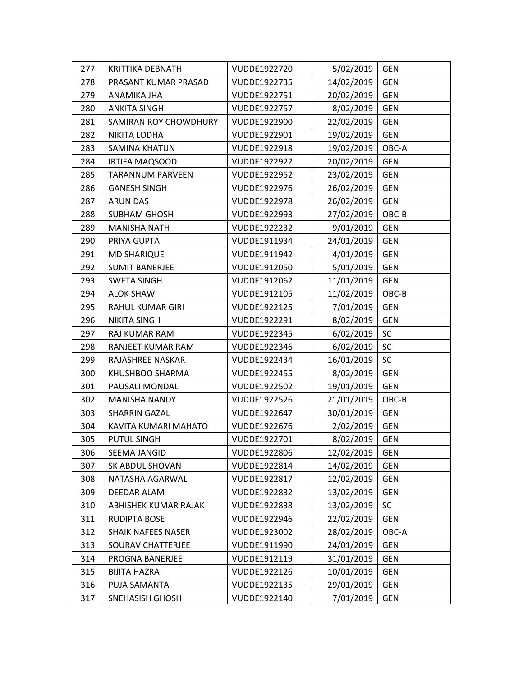| 277 | <b>KRITTIKA DEBNATH</b>   | VUDDE1922720 | 5/02/2019  | <b>GEN</b> |
|-----|---------------------------|--------------|------------|------------|
| 278 | PRASANT KUMAR PRASAD      | VUDDE1922735 | 14/02/2019 | <b>GEN</b> |
| 279 | ANAMIKA JHA               | VUDDE1922751 | 20/02/2019 | <b>GEN</b> |
| 280 | <b>ANKITA SINGH</b>       | VUDDE1922757 | 8/02/2019  | <b>GEN</b> |
| 281 | SAMIRAN ROY CHOWDHURY     | VUDDE1922900 | 22/02/2019 | <b>GEN</b> |
| 282 | NIKITA LODHA              | VUDDE1922901 | 19/02/2019 | <b>GEN</b> |
| 283 | <b>SAMINA KHATUN</b>      | VUDDE1922918 | 19/02/2019 | OBC-A      |
| 284 | IRTIFA MAQSOOD            | VUDDE1922922 | 20/02/2019 | <b>GEN</b> |
| 285 | <b>TARANNUM PARVEEN</b>   | VUDDE1922952 | 23/02/2019 | <b>GEN</b> |
| 286 | <b>GANESH SINGH</b>       | VUDDE1922976 | 26/02/2019 | <b>GEN</b> |
| 287 | <b>ARUN DAS</b>           | VUDDE1922978 | 26/02/2019 | <b>GEN</b> |
| 288 | <b>SUBHAM GHOSH</b>       | VUDDE1922993 | 27/02/2019 | OBC-B      |
| 289 | <b>MANISHA NATH</b>       | VUDDE1922232 | 9/01/2019  | <b>GEN</b> |
| 290 | PRIYA GUPTA               | VUDDE1911934 | 24/01/2019 | <b>GEN</b> |
| 291 | <b>MD SHARIQUE</b>        | VUDDE1911942 | 4/01/2019  | <b>GEN</b> |
| 292 | <b>SUMIT BANERJEE</b>     | VUDDE1912050 | 5/01/2019  | <b>GEN</b> |
| 293 | <b>SWETA SINGH</b>        | VUDDE1912062 | 11/01/2019 | <b>GEN</b> |
| 294 | <b>ALOK SHAW</b>          | VUDDE1912105 | 11/02/2019 | OBC-B      |
| 295 | <b>RAHUL KUMAR GIRI</b>   | VUDDE1922125 | 7/01/2019  | <b>GEN</b> |
| 296 | <b>NIKITA SINGH</b>       | VUDDE1922291 | 8/02/2019  | <b>GEN</b> |
| 297 | RAJ KUMAR RAM             | VUDDE1922345 | 6/02/2019  | <b>SC</b>  |
| 298 | RANJEET KUMAR RAM         | VUDDE1922346 | 6/02/2019  | SC         |
| 299 | RAJASHREE NASKAR          | VUDDE1922434 | 16/01/2019 | <b>SC</b>  |
| 300 | KHUSHBOO SHARMA           | VUDDE1922455 | 8/02/2019  | <b>GEN</b> |
| 301 | PAUSALI MONDAL            | VUDDE1922502 | 19/01/2019 | <b>GEN</b> |
| 302 | <b>MANISHA NANDY</b>      | VUDDE1922526 | 21/01/2019 | OBC-B      |
| 303 | <b>SHARRIN GAZAL</b>      | VUDDE1922647 | 30/01/2019 | <b>GEN</b> |
| 304 | KAVITA KUMARI MAHATO      | VUDDE1922676 | 2/02/2019  | <b>GEN</b> |
| 305 | <b>PUTUL SINGH</b>        | VUDDE1922701 | 8/02/2019  | <b>GEN</b> |
| 306 | SEEMA JANGID              | VUDDE1922806 | 12/02/2019 | <b>GEN</b> |
| 307 | SK ABDUL SHOVAN           | VUDDE1922814 | 14/02/2019 | <b>GEN</b> |
| 308 | NATASHA AGARWAL           | VUDDE1922817 | 12/02/2019 | <b>GEN</b> |
| 309 | DEEDAR ALAM               | VUDDE1922832 | 13/02/2019 | <b>GEN</b> |
| 310 | ABHISHEK KUMAR RAJAK      | VUDDE1922838 | 13/02/2019 | <b>SC</b>  |
| 311 | RUDIPTA BOSE              | VUDDE1922946 | 22/02/2019 | <b>GEN</b> |
| 312 | <b>SHAIK NAFEES NASER</b> | VUDDE1923002 | 28/02/2019 | OBC-A      |
| 313 | SOURAV CHATTERJEE         | VUDDE1911990 | 24/01/2019 | <b>GEN</b> |
| 314 | PROGNA BANERJEE           | VUDDE1912119 | 31/01/2019 | <b>GEN</b> |
| 315 | <b>BIJITA HAZRA</b>       | VUDDE1922126 | 10/01/2019 | <b>GEN</b> |
| 316 | PUJA SAMANTA              | VUDDE1922135 | 29/01/2019 | <b>GEN</b> |
| 317 | <b>SNEHASISH GHOSH</b>    | VUDDE1922140 | 7/01/2019  | <b>GEN</b> |